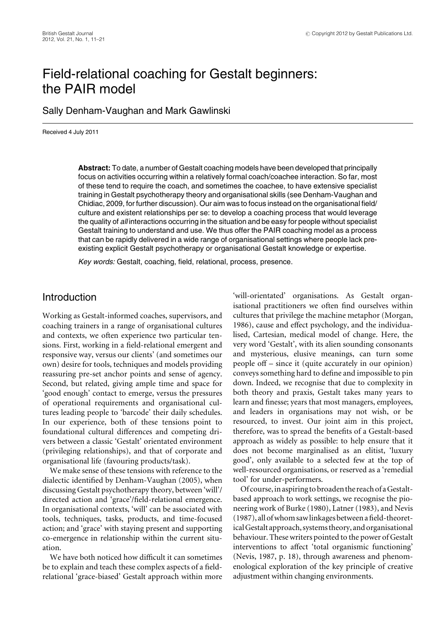# Field-relational coaching for Gestalt beginners: the PAIR model

Sally Denham-Vaughan and Mark Gawlinski

Received 4 July 2011

**Abstract:** To date, a number of Gestalt coaching models have been developed that principally focus on activities occurring within a relatively formal coach/coachee interaction. So far, most of these tend to require the coach, and sometimes the coachee, to have extensive specialist training in Gestalt psychotherapy theory and organisational skills (see Denham-Vaughan and Chidiac, 2009, for further discussion). Our aim was to focus instead on the organisational field/ culture and existent relationships per se: to develop a coaching process that would leverage the quality of all interactions occurring in the situation and be easy for people without specialist Gestalt training to understand and use. We thus offer the PAIR coaching model as a process that can be rapidly delivered in a wide range of organisational settings where people lack preexisting explicit Gestalt psychotherapy or organisational Gestalt knowledge or expertise.

Key words: Gestalt, coaching, field, relational, process, presence.

### Introduction

Working as Gestalt-informed coaches, supervisors, and coaching trainers in a range of organisational cultures and contexts, we often experience two particular tensions. First, working in a field-relational emergent and responsive way, versus our clients' (and sometimes our own) desire for tools, techniques and models providing reassuring pre-set anchor points and sense of agency. Second, but related, giving ample time and space for 'good enough' contact to emerge, versus the pressures of operational requirements and organisational cultures leading people to 'barcode' their daily schedules. In our experience, both of these tensions point to foundational cultural differences and competing drivers between a classic 'Gestalt' orientated environment (privileging relationships), and that of corporate and organisational life (favouring products/task).

We make sense of these tensions with reference to the dialectic identified by Denham-Vaughan (2005), when discussing Gestalt psychotherapy theory, between 'will'/ directed action and 'grace'/field-relational emergence. In organisational contexts, 'will' can be associated with tools, techniques, tasks, products, and time-focused action; and 'grace' with staying present and supporting co-emergence in relationship within the current situation.

We have both noticed how difficult it can sometimes be to explain and teach these complex aspects of a fieldrelational 'grace-biased' Gestalt approach within more 'will-orientated' organisations. As Gestalt organisational practitioners we often find ourselves within cultures that privilege the machine metaphor (Morgan, 1986), cause and effect psychology, and the individualised, Cartesian, medical model of change. Here, the very word 'Gestalt', with its alien sounding consonants and mysterious, elusive meanings, can turn some people off – since it (quite accurately in our opinion) conveys something hard to define and impossible to pin down. Indeed, we recognise that due to complexity in both theory and praxis, Gestalt takes many years to learn and finesse; years that most managers, employees, and leaders in organisations may not wish, or be resourced, to invest. Our joint aim in this project, therefore, was to spread the benefits of a Gestalt-based approach as widely as possible: to help ensure that it does not become marginalised as an elitist, 'luxury good', only available to a selected few at the top of well-resourced organisations, or reserved as a 'remedial tool' for under-performers.

Of course,in aspiring to broaden the reach of aGestaltbased approach to work settings, we recognise the pioneering work of Burke (1980), Latner (1983), and Nevis (1987), all ofwhom sawlinkages between a field-theoreticalGestalt approach, systems theory, and organisational behaviour. These writers pointed to the power of Gestalt interventions to affect 'total organismic functioning' (Nevis, 1987, p. 18), through awareness and phenomenological exploration of the key principle of creative adjustment within changing environments.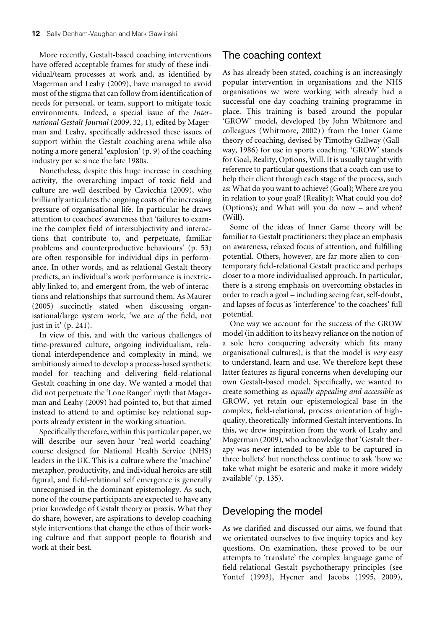More recently, Gestalt-based coaching interventions have offered acceptable frames for study of these individual/team processes at work and, as identified by Magerman and Leahy (2009), have managed to avoid most of the stigma that can follow from identification of needs for personal, or team, support to mitigate toxic environments. Indeed, a special issue of the *International Gestalt Journal* (2009, 32, 1), edited by Magerman and Leahy, specifically addressed these issues of support within the Gestalt coaching arena while also noting a more general 'explosion' (p. 9) of the coaching industry per se since the late 1980s.

Nonetheless, despite this huge increase in coaching activity, the overarching impact of toxic field and culture are well described by Cavicchia (2009), who brilliantly articulates the ongoing costs of the increasing pressure of organisational life. In particular he draws attention to coachees' awareness that 'failures to examine the complex field of intersubjectivity and interactions that contribute to, and perpetuate, familiar problems and counterproductive behaviours' (p. 53) are often responsible for individual dips in performance. In other words, and as relational Gestalt theory predicts, an individual's work performance is inextricably linked to, and emergent from, the web of interactions and relationships that surround them. As Maurer (2005) succinctly stated when discussing organisational/large system work, 'we are *of* the field, not just in it' (p. 241).

In view of this, and with the various challenges of time-pressured culture, ongoing individualism, relational interdependence and complexity in mind, we ambitiously aimed to develop a process-based synthetic model for teaching and delivering field-relational Gestalt coaching in one day. We wanted a model that did not perpetuate the 'Lone Ranger' myth that Magerman and Leahy (2009) had pointed to, but that aimed instead to attend to and optimise key relational supports already existent in the working situation.

Specifically therefore, within this particular paper, we will describe our seven-hour 'real-world coaching' course designed for National Health Service (NHS) leaders in the UK. This is a culture where the 'machine' metaphor, productivity, and individual heroics are still figural, and field-relational self emergence is generally unrecognised in the dominant epistemology. As such, none of the course participants are expected to have any prior knowledge of Gestalt theory or praxis. What they do share, however, are aspirations to develop coaching style interventions that change the ethos of their working culture and that support people to flourish and work at their best.

## The coaching context

As has already been stated, coaching is an increasingly popular intervention in organisations and the NHS organisations we were working with already had a successful one-day coaching training programme in place. This training is based around the popular 'GROW' model, developed (by John Whitmore and colleagues (Whitmore, 2002) ) from the Inner Game theory of coaching, devised by Timothy Gallway (Gallway, 1986) for use in sports coaching. 'GROW' stands for Goal, Reality, Options, Will. It is usually taught with reference to particular questions that a coach can use to help their client through each stage of the process, such as: What do you want to achieve? (Goal); Where are you in relation to your goal? (Reality); What could you do? (Options); and What will you do now – and when? (Will).

Some of the ideas of Inner Game theory will be familiar to Gestalt practitioners: they place an emphasis on awareness, relaxed focus of attention, and fulfilling potential. Others, however, are far more alien to contemporary field-relational Gestalt practice and perhaps closer to a more individualised approach. In particular, there is a strong emphasis on overcoming obstacles in order to reach a goal – including seeing fear, self-doubt, and lapses of focus as 'interference' to the coachees' full potential.

One way we account for the success of the GROW model (in addition to its heavy reliance on the notion of a sole hero conquering adversity which fits many organisational cultures), is that the model is *very* easy to understand, learn and use. We therefore kept these latter features as figural concerns when developing our own Gestalt-based model. Specifically, we wanted to create something as *equally appealing and accessible* as GROW, yet retain our epistemological base in the complex, field-relational, process orientation of highquality, theoretically-informed Gestalt interventions. In this, we drew inspiration from the work of Leahy and Magerman (2009), who acknowledge that 'Gestalt therapy was never intended to be able to be captured in three bullets' but nonetheless continue to ask 'how we take what might be esoteric and make it more widely available' (p. 135).

## Developing the model

As we clarified and discussed our aims, we found that we orientated ourselves to five inquiry topics and key questions. On examination, these proved to be our attempts to 'translate' the complex language game of field-relational Gestalt psychotherapy principles (see Yontef (1993), Hycner and Jacobs (1995, 2009),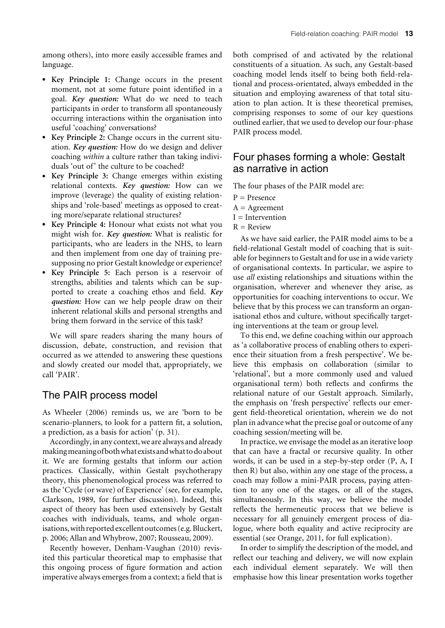among others), into more easily accessible frames and language.

- . **Key Principle 1:** Change occurs in the present moment, not at some future point identified in a goal. *Key question:* What do we need to teach participants in order to transform all spontaneously occurring interactions within the organisation into useful 'coaching' conversations?
- . **Key Principle 2:** Change occurs in the current situation. *Key question:* How do we design and deliver coaching *within* a culture rather than taking individuals 'out of' the culture to be coached?
- . **Key Principle 3:** Change emerges within existing relational contexts. *Key question:* How can we improve (leverage) the quality of existing relationships and 'role-based' meetings as opposed to creating more/separate relational structures?
- . **Key Principle 4:** Honour what exists not what you might wish for. *Key question:* What is realistic for participants, who are leaders in the NHS, to learn and then implement from one day of training presupposing no prior Gestalt knowledge or experience?
- . **Key Principle 5:** Each person is a reservoir of strengths, abilities and talents which can be supported to create a coaching ethos and field. *Key question:* How can we help people draw on their inherent relational skills and personal strengths and bring them forward in the service of this task?

We will spare readers sharing the many hours of discussion, debate, construction, and revision that occurred as we attended to answering these questions and slowly created our model that, appropriately, we call 'PAIR'.

### The PAIR process model

As Wheeler (2006) reminds us, we are 'born to be scenario-planners, to look for a pattern fit, a solution, a prediction, as a basis for action' (p. 31).

Accordingly, in any context, we are always and already makingmeaningofbothwhatexistsandwhat todoabout it. We are forming gestalts that inform our action practices. Classically, within Gestalt psychotherapy theory, this phenomenological process was referred to as the 'Cycle (or wave) of Experience' (see, for example, Clarkson, 1989, for further discussion). Indeed, this aspect of theory has been used extensively by Gestalt coaches with individuals, teams, and whole organisations,with reported excellent outcomes (e.g. Bluckert, p. 2006; Allan and Whybrow, 2007; Rousseau, 2009).

Recently however, Denham-Vaughan (2010) revisited this particular theoretical map to emphasise that this ongoing process of figure formation and action imperative always emerges from a context; a field that is

both comprised of and activated by the relational constituents of a situation. As such, any Gestalt-based coaching model lends itself to being both field-relational and process-orientated, always embedded in the situation and employing awareness of that total situation to plan action. It is these theoretical premises, comprising responses to some of our key questions outlined earlier, that we used to develop our four-phase PAIR process model.

### Four phases forming a whole: Gestalt as narrative in action

The four phases of the PAIR model are:

- $P =$  Presence
- $A = Agreement$
- $I = Intervention$
- $R = R$ eview

As we have said earlier, the PAIR model aims to be a field-relational Gestalt model of coaching that is suitable for beginners to Gestalt and for use in a wide variety of organisational contexts. In particular, we aspire to use *all* existing relationships and situations within the organisation, wherever and whenever they arise, as opportunities for coaching interventions to occur. We believe that by this process we can transform an organisational ethos and culture, without specifically targeting interventions at the team or group level.

To this end, we define coaching within our approach as 'a collaborative process of enabling others to experience their situation from a fresh perspective'. We believe this emphasis on collaboration (similar to 'relational', but a more commonly used and valued organisational term) both reflects and confirms the relational nature of our Gestalt approach. Similarly, the emphasis on 'fresh perspective' reflects our emergent field-theoretical orientation, wherein we do not plan in advance what the precise goal or outcome of any coaching session/meeting will be.

In practice, we envisage the model as an iterative loop that can have a fractal or recursive quality. In other words, it can be used in a step-by-step order (P, A, I then R) but also, within any one stage of the process, a coach may follow a mini-PAIR process, paying attention to any one of the stages, or all of the stages, simultaneously. In this way, we believe the model reflects the hermeneutic process that we believe is necessary for all genuinely emergent process of dialogue, where both equality and active reciprocity are essential (see Orange, 2011, for full explication).

In order to simplify the description of the model, and reflect our teaching and delivery, we will now explain each individual element separately. We will then emphasise how this linear presentation works together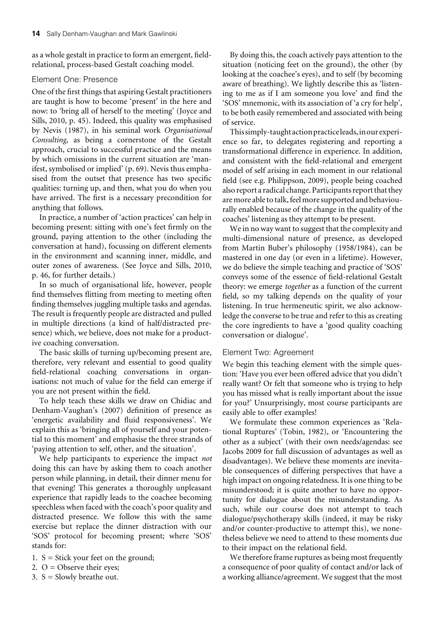as a whole gestalt in practice to form an emergent, fieldrelational, process-based Gestalt coaching model.

#### Element One: Presence

One of the first things that aspiring Gestalt practitioners are taught is how to become 'present' in the here and now: to 'bring all of herself to the meeting' (Joyce and Sills, 2010, p. 45). Indeed, this quality was emphasised by Nevis (1987), in his seminal work *Organisational Consulting*, as being a cornerstone of the Gestalt approach, crucial to successful practice and the means by which omissions in the current situation are 'manifest, symbolised or implied' (p. 69). Nevis thus emphasised from the outset that presence has two specific qualities: turning up, and then, what you do when you have arrived. The first is a necessary precondition for anything that follows.

In practice, a number of 'action practices' can help in becoming present: sitting with one's feet firmly on the ground, paying attention to the other (including the conversation at hand), focussing on different elements in the environment and scanning inner, middle, and outer zones of awareness. (See Joyce and Sills, 2010, p. 46, for further details.)

In so much of organisational life, however, people find themselves flitting from meeting to meeting often finding themselves juggling multiple tasks and agendas. The result is frequently people are distracted and pulled in multiple directions (a kind of half/distracted presence) which, we believe, does not make for a productive coaching conversation.

The basic skills of turning up/becoming present are, therefore, very relevant and essential to good quality field-relational coaching conversations in organisations: not much of value for the field can emerge if you are not present within the field.

To help teach these skills we draw on Chidiac and Denham-Vaughan's (2007) definition of presence as 'energetic availability and fluid responsiveness'. We explain this as 'bringing all of yourself and your potential to this moment' and emphasise the three strands of 'paying attention to self, other, and the situation'.

We help participants to experience the impact *not* doing this can have by asking them to coach another person while planning, in detail, their dinner menu for that evening! This generates a thoroughly unpleasant experience that rapidly leads to the coachee becoming speechless when faced with the coach's poor quality and distracted presence. We follow this with the same exercise but replace the dinner distraction with our 'SOS' protocol for becoming present; where 'SOS' stands for:

- 1.  $S =$  Stick your feet on the ground;
- 2.  $O =$  Observe their eyes;
- 3.  $S =$  Slowly breathe out.

By doing this, the coach actively pays attention to the situation (noticing feet on the ground), the other (by looking at the coachee's eyes), and to self (by becoming aware of breathing). We lightly describe this as 'listening to me as if I am someone you love' and find the 'SOS' mnemonic, with its association of 'a cry for help', to be both easily remembered and associated with being of service.

This simply-taughtactionpracticeleads,inour experience so far, to delegates registering and reporting a transformational difference in experience. In addition, and consistent with the field-relational and emergent model of self arising in each moment in our relational field (see e.g. Philippson, 2009), people being coached also report a radical change. Participants report that they are more able to talk, feel more supported and behaviourally enabled because of the change in the quality of the coaches' listening as they attempt to be present.

We in no way want to suggest that the complexity and multi-dimensional nature of presence, as developed from Martin Buber's philosophy (1958/1984), can be mastered in one day (or even in a lifetime). However, we do believe the simple teaching and practice of 'SOS' conveys some of the essence of field-relational Gestalt theory: we emerge *together* as a function of the current field, so my talking depends on the quality of your listening. In true hermeneutic spirit, we also acknowledge the converse to be true and refer to this as creating the core ingredients to have a 'good quality coaching conversation or dialogue'.

#### Element Two: Agreement

We begin this teaching element with the simple question: 'Have you ever been offered advice that you didn't really want? Or felt that someone who is trying to help you has missed what is really important about the issue for you?' Unsurprisingly, most course participants are easily able to offer examples!

We formulate these common experiences as 'Relational Ruptures' (Tobin, 1982), or 'Encountering the other as a subject' (with their own needs/agendas: see Jacobs 2009 for full discussion of advantages as well as disadvantages). We believe these moments are inevitable consequences of differing perspectives that have a high impact on ongoing relatedness. It is one thing to be misunderstood; it is quite another to have no opportunity for dialogue about the misunderstanding. As such, while our course does not attempt to teach dialogue/psychotherapy skills (indeed, it may be risky and/or counter-productive to attempt this), we nonetheless believe we need to attend to these moments due to their impact on the relational field.

We therefore frame ruptures as being most frequently a consequence of poor quality of contact and/or lack of a working alliance/agreement. We suggest that the most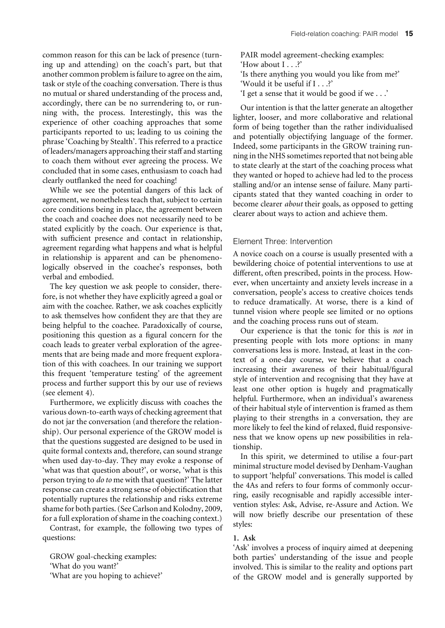common reason for this can be lack of presence (turning up and attending) on the coach's part, but that another common problem is failure to agree on the aim, task or style of the coaching conversation. There is thus no mutual or shared understanding of the process and, accordingly, there can be no surrendering to, or running with, the process. Interestingly, this was the experience of other coaching approaches that some participants reported to us; leading to us coining the phrase 'Coaching by Stealth'. This referred to a practice of leaders/managers approaching their staff and starting to coach them without ever agreeing the process. We concluded that in some cases, enthusiasm to coach had clearly outflanked the need for coaching!

While we see the potential dangers of this lack of agreement, we nonetheless teach that, subject to certain core conditions being in place, the agreement between the coach and coachee does not necessarily need to be stated explicitly by the coach. Our experience is that, with sufficient presence and contact in relationship, agreement regarding what happens and what is helpful in relationship is apparent and can be phenomenologically observed in the coachee's responses, both verbal and embodied.

The key question we ask people to consider, therefore, is not whether they have explicitly agreed a goal or aim with the coachee. Rather, we ask coaches explicitly to ask themselves how confident they are that they are being helpful to the coachee. Paradoxically of course, positioning this question as a figural concern for the coach leads to greater verbal exploration of the agreements that are being made and more frequent exploration of this with coachees. In our training we support this frequent 'temperature testing' of the agreement process and further support this by our use of reviews (see element 4).

Furthermore, we explicitly discuss with coaches the various down-to-earth ways of checking agreement that do not jar the conversation (and therefore the relationship). Our personal experience of the GROW model is that the questions suggested are designed to be used in quite formal contexts and, therefore, can sound strange when used day-to-day. They may evoke a response of 'what was that question about?', or worse, 'what is this person trying to *do to* me with that question?' The latter response can create a strong sense of objectification that potentially ruptures the relationship and risks extreme shame for both parties. (See Carlson and Kolodny, 2009, for a full exploration of shame in the coaching context.)

Contrast, for example, the following two types of questions:

GROW goal-checking examples: 'What do you want?' 'What are you hoping to achieve?' PAIR model agreement-checking examples: 'How about I . . .?' 'Is there anything you would you like from me?' 'Would it be useful if I . . .?' 'I get a sense that it would be good if we . . .'

Our intention is that the latter generate an altogether lighter, looser, and more collaborative and relational form of being together than the rather individualised and potentially objectifying language of the former. Indeed, some participants in the GROW training running in the NHS sometimes reported that not being able to state clearly at the start of the coaching process what they wanted or hoped to achieve had led to the process stalling and/or an intense sense of failure. Many participants stated that they wanted coaching in order to become clearer *about* their goals, as opposed to getting clearer about ways to action and achieve them.

#### Element Three: Intervention

A novice coach on a course is usually presented with a bewildering choice of potential interventions to use at different, often prescribed, points in the process. However, when uncertainty and anxiety levels increase in a conversation, people's access to creative choices tends to reduce dramatically. At worse, there is a kind of tunnel vision where people see limited or no options and the coaching process runs out of steam.

Our experience is that the tonic for this is *not* in presenting people with lots more options: in many conversations less is more. Instead, at least in the context of a one-day course, we believe that a coach increasing their awareness of their habitual/figural style of intervention and recognising that they have at least one other option is hugely and pragmatically helpful. Furthermore, when an individual's awareness of their habitual style of intervention is framed as them playing to their strengths in a conversation, they are more likely to feel the kind of relaxed, fluid responsiveness that we know opens up new possibilities in relationship.

In this spirit, we determined to utilise a four-part minimal structure model devised by Denham-Vaughan to support 'helpful' conversations. This model is called the 4As and refers to four forms of commonly occurring, easily recognisable and rapidly accessible intervention styles: Ask, Advise, re-Assure and Action. We will now briefly describe our presentation of these styles:

#### **1. Ask**

'Ask' involves a process of inquiry aimed at deepening both parties' understanding of the issue and people involved. This is similar to the reality and options part of the GROW model and is generally supported by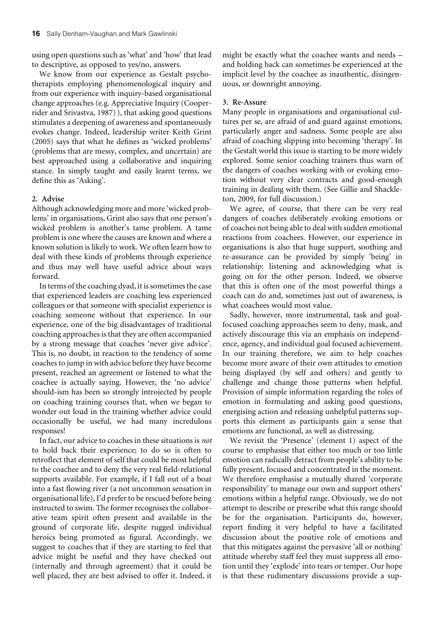using open questions such as 'what' and 'how' that lead to descriptive, as opposed to yes/no, answers.

We know from our experience as Gestalt psychotherapists employing phenomenological inquiry and from our experience with inquiry-based organisational change approaches (e.g. Appreciative Inquiry (Cooperrider and Srivastva, 1987) ), that asking good questions stimulates a deepening of awareness and spontaneously evokes change. Indeed, leadership writer Keith Grint (2005) says that what he defines as 'wicked problems' (problems that are messy, complex, and uncertain) are best approached using a collaborative and inquiring stance. In simply taught and easily learnt terms, we define this as 'Asking'.

#### **2. Advise**

Although acknowledging more and more 'wicked problems' in organisations, Grint also says that one person's wicked problem is another's tame problem. A tame problem is one where the causes are known and where a known solution is likely to work. We often learn how to deal with these kinds of problems through experience and thus may well have useful advice about ways forward.

In terms of the coaching dyad, it is sometimes the case that experienced leaders are coaching less experienced colleagues or that someone with specialist experience is coaching someone without that experience. In our experience, one of the big disadvantages of traditional coaching approaches is that they are often accompanied by a strong message that coaches 'never give advice'. This is, no doubt, in reaction to the tendency of some coaches to jump in with advice before they have become present, reached an agreement or listened to what the coachee is actually saying. However, the 'no advice' should-ism has been so strongly introjected by people on coaching training courses that, when we began to wonder out loud in the training whether advice could occasionally be useful, we had many incredulous responses!

In fact, our advice to coaches in these situations is *not* to hold back their experience; to do so is often to retroflect that element of self that could be most helpful to the coachee and to deny the very real field-relational supports available. For example, if I fall out of a boat into a fast flowing river (a not uncommon sensation in organisational life), I'd prefer to be rescued before being instructed to swim. The former recognises the collaborative team spirit often present and available in the ground of corporate life, despite rugged individual heroics being promoted as figural. Accordingly, we suggest to coaches that if they are starting to feel that advice might be useful and they have checked out (internally and through agreement) that it could be well placed, they are best advised to offer it. Indeed, it

might be exactly what the coachee wants and needs – and holding back can sometimes be experienced at the implicit level by the coachee as inauthentic, disingenuous, or downright annoying.

#### **3. Re-Assure**

Many people in organisations and organisational cultures per se, are afraid of and guard against emotions, particularly anger and sadness. Some people are also afraid of coaching slipping into becoming 'therapy'. In the Gestalt world this issue is starting to be more widely explored. Some senior coaching trainers thus warn of the dangers of coaches working with or evoking emotion without very clear contracts and good-enough training in dealing with them. (See Gillie and Shackleton, 2009, for full discussion.)

We agree, of course, that there can be very real dangers of coaches deliberately evoking emotions or of coaches not being able to deal with sudden emotional reactions from coachees. However, our experience in organisations is also that huge support, soothing and re-assurance can be provided by simply 'being' in relationship: listening and acknowledging what is going on for the other person. Indeed, we observe that this is often one of the most powerful things a coach can do and, sometimes just out of awareness, is what coachees would most value.

Sadly, however, more instrumental, task and goalfocused coaching approaches seem to deny, mask, and actively discourage this via an emphasis on independence, agency, and individual goal focused achievement. In our training therefore, we aim to help coaches become more aware of their own attitudes to emotion being displayed (by self and others) and gently to challenge and change those patterns when helpful. Provision of simple information regarding the roles of emotion in formulating and asking good questions, energising action and releasing unhelpful patterns supports this element as participants gain a sense that emotions are functional, as well as distressing.

We revisit the 'Presence' (element 1) aspect of the course to emphasise that either too much or too little emotion can radically detract from people's ability to be fully present, focused and concentrated in the moment. We therefore emphasise a mutually shared 'corporate responsibility' to manage our own and support others' emotions within a helpful range. Obviously, we do not attempt to describe or prescribe what this range should be for the organisation. Participants do, however, report finding it very helpful to have a facilitated discussion about the positive role of emotions and that this mitigates against the pervasive 'all or nothing' attitude whereby staff feel they must suppress all emotion until they 'explode' into tears or temper. Our hope is that these rudimentary discussions provide a sup-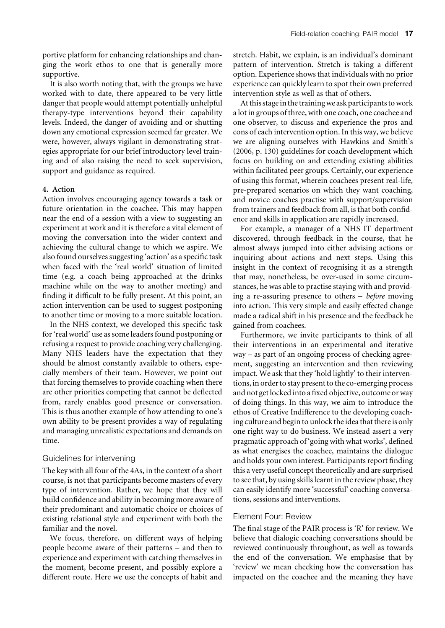portive platform for enhancing relationships and changing the work ethos to one that is generally more supportive.

It is also worth noting that, with the groups we have worked with to date, there appeared to be very little danger that people would attempt potentially unhelpful therapy-type interventions beyond their capability levels. Indeed, the danger of avoiding and or shutting down any emotional expression seemed far greater. We were, however, always vigilant in demonstrating strategies appropriate for our brief introductory level training and of also raising the need to seek supervision, support and guidance as required.

#### **4. Action**

Action involves encouraging agency towards a task or future orientation in the coachee. This may happen near the end of a session with a view to suggesting an experiment at work and it is therefore a vital element of moving the conversation into the wider context and achieving the cultural change to which we aspire. We also found ourselves suggesting 'action' as a specific task when faced with the 'real world' situation of limited time (e.g. a coach being approached at the drinks machine while on the way to another meeting) and finding it difficult to be fully present. At this point, an action intervention can be used to suggest postponing to another time or moving to a more suitable location.

In the NHS context, we developed this specific task for 'real world' use as some leaders found postponing or refusing a request to provide coaching very challenging. Many NHS leaders have the expectation that they should be almost constantly available to others, especially members of their team. However, we point out that forcing themselves to provide coaching when there are other priorities competing that cannot be deflected from, rarely enables good presence or conversation. This is thus another example of how attending to one's own ability to be present provides a way of regulating and managing unrealistic expectations and demands on time.

#### Guidelines for intervening

The key with all four of the 4As, in the context of a short course, is not that participants become masters of every type of intervention. Rather, we hope that they will build confidence and ability in becoming more aware of their predominant and automatic choice or choices of existing relational style and experiment with both the familiar and the novel.

We focus, therefore, on different ways of helping people become aware of their patterns – and then to experience and experiment with catching themselves in the moment, become present, and possibly explore a different route. Here we use the concepts of habit and stretch. Habit, we explain, is an individual's dominant pattern of intervention. Stretch is taking a different option. Experience shows that individuals with no prior experience can quickly learn to spot their own preferred intervention style as well as that of others.

At this stage in the trainingwe ask participants to work a lot in groups of three, with one coach, one coachee and one observer, to discuss and experience the pros and cons of each intervention option. In this way, we believe we are aligning ourselves with Hawkins and Smith's (2006, p. 130) guidelines for coach development which focus on building on and extending existing abilities within facilitated peer groups. Certainly, our experience of using this format, wherein coachees present real-life, pre-prepared scenarios on which they want coaching, and novice coaches practise with support/supervision from trainers and feedback from all, is that both confidence and skills in application are rapidly increased.

For example, a manager of a NHS IT department discovered, through feedback in the course, that he almost always jumped into either advising actions or inquiring about actions and next steps. Using this insight in the context of recognising it as a strength that may, nonetheless, be over-used in some circumstances, he was able to practise staying with and providing a re-assuring presence to others – *before* moving into action. This very simple and easily effected change made a radical shift in his presence and the feedback he gained from coachees.

Furthermore, we invite participants to think of all their interventions in an experimental and iterative way – as part of an ongoing process of checking agreement, suggesting an intervention and then reviewing impact. We ask that they 'hold lightly' to their interventions, in order to stay present to the co-emerging process and not get locked into a fixed objective, outcome or way of doing things. In this way, we aim to introduce the ethos of Creative Indifference to the developing coaching culture and begin to unlock the idea that there is only one right way to do business. We instead assert a very pragmatic approach of 'going with what works', defined as what energises the coachee, maintains the dialogue and holds your own interest. Participants report finding this a very useful concept theoretically and are surprised to see that, by using skills learnt in the review phase, they can easily identify more 'successful' coaching conversations, sessions and interventions.

#### Element Four: Review

The final stage of the PAIR process is 'R' for review. We believe that dialogic coaching conversations should be reviewed continuously throughout, as well as towards the end of the conversation. We emphasise that by 'review' we mean checking how the conversation has impacted on the coachee and the meaning they have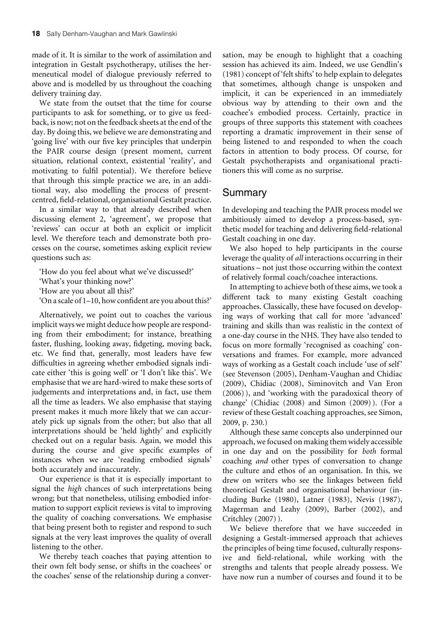made of it. It is similar to the work of assimilation and integration in Gestalt psychotherapy, utilises the hermeneutical model of dialogue previously referred to above and is modelled by us throughout the coaching delivery training day.

We state from the outset that the time for course participants to ask for something, or to give us feedback, is now; not on the feedback sheets at the end of the day. By doing this, we believe we are demonstrating and 'going live' with our five key principles that underpin the PAIR course design (present moment, current situation, relational context, existential 'reality', and motivating to fulfil potential). We therefore believe that through this simple practice we are, in an additional way, also modelling the process of presentcentred, field-relational, organisational Gestalt practice.

In a similar way to that already described when discussing element 2, 'agreement', we propose that 'reviews' can occur at both an explicit or implicit level. We therefore teach and demonstrate both processes on the course, sometimes asking explicit review questions such as:

'How do you feel about what we've discussed?'

'What's your thinking now?'

'How are you about all this?'

'On a scale of 1–10, how confident are you about this?'

Alternatively, we point out to coaches the various implicit ways we might deduce how people are responding from their embodiment; for instance, breathing faster, flushing, looking away, fidgeting, moving back, etc. We find that, generally, most leaders have few difficulties in agreeing whether embodied signals indicate either 'this is going well' or 'I don't like this'. We emphasise that we are hard-wired to make these sorts of judgements and interpretations and, in fact, use them all the time as leaders. We also emphasise that staying present makes it much more likely that we can accurately pick up signals from the other; but also that all interpretations should be 'held lightly' and explicitly checked out on a regular basis. Again, we model this during the course and give specific examples of instances when we are 'reading embodied signals' both accurately and inaccurately.

Our experience is that it is especially important to signal the *high* chances of such interpretations being wrong; but that nonetheless, utilising embodied information to support explicit reviews is vital to improving the quality of coaching conversations. We emphasise that being present both to register and respond to such signals at the very least improves the quality of overall listening to the other.

We thereby teach coaches that paying attention to their own felt body sense, or shifts in the coachees' or the coaches' sense of the relationship during a conversation, may be enough to highlight that a coaching session has achieved its aim. Indeed, we use Gendlin's (1981) concept of 'felt shifts' to help explain to delegates that sometimes, although change is unspoken and implicit, it can be experienced in an immediately obvious way by attending to their own and the coachee's embodied process. Certainly, practice in groups of three supports this statement with coachees reporting a dramatic improvement in their sense of being listened to and responded to when the coach factors in attention to body process. Of course, for Gestalt psychotherapists and organisational practitioners this will come as no surprise.

### Summary

In developing and teaching the PAIR process model we ambitiously aimed to develop a process-based, synthetic model for teaching and delivering field-relational Gestalt coaching in one day.

We also hoped to help participants in the course leverage the quality of *all* interactions occurring in their situations – not just those occurring within the context of relatively formal coach/coachee interactions.

In attempting to achieve both of these aims, we took a different tack to many existing Gestalt coaching approaches. Classically, these have focused on developing ways of working that call for more 'advanced' training and skills than was realistic in the context of a one-day course in the NHS. They have also tended to focus on more formally 'recognised as coaching' conversations and frames. For example, more advanced ways of working as a Gestalt coach include 'use of self' (see Stevenson (2005), Denham-Vaughan and Chidiac (2009), Chidiac (2008), Siminovitch and Van Eron (2006) ), and 'working with the paradoxical theory of change' (Chidiac (2008) and Simon (2009) ). (For a review of these Gestalt coaching approaches, see Simon, 2009, p. 230.)

Although these same concepts also underpinned our approach, we focused on making them widely accessible in one day and on the possibility for *both* formal coaching *and* other types of conversation to change the culture and ethos of an organisation. In this, we drew on writers who see the linkages between field theoretical Gestalt and organisational behaviour (including Burke (1980), Latner (1983), Nevis (1987), Magerman and Leahy (2009), Barber (2002), and Critchley (2007) ).

We believe therefore that we have succeeded in designing a Gestalt-immersed approach that achieves the principles of being time focused, culturally responsive and field-relational, while working with the strengths and talents that people already possess. We have now run a number of courses and found it to be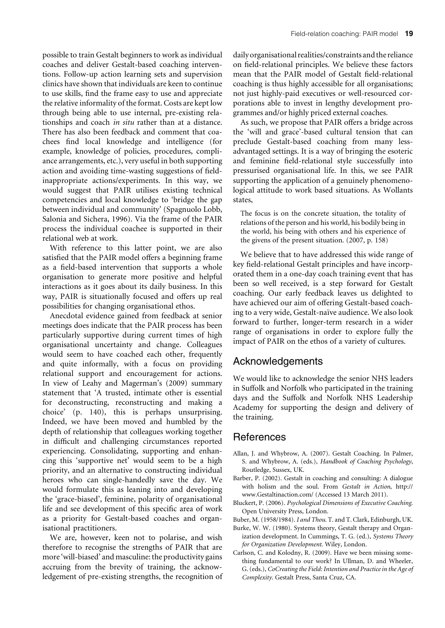possible to train Gestalt beginners to work as individual coaches and deliver Gestalt-based coaching interventions. Follow-up action learning sets and supervision clinics have shown that individuals are keen to continue to use skills, find the frame easy to use and appreciate the relative informality of the format. Costs are kept low through being able to use internal, pre-existing relationships and coach *in situ* rather than at a distance. There has also been feedback and comment that coachees find local knowledge and intelligence (for example, knowledge of policies, procedures, compliance arrangements, etc.), very useful in both supporting action and avoiding time-wasting suggestions of fieldinappropriate actions/experiments. In this way, we would suggest that PAIR utilises existing technical competencies and local knowledge to 'bridge the gap between individual and community' (Spagnuolo Lobb, Salonia and Sichera, 1996). Via the frame of the PAIR process the individual coachee is supported in their relational web at work.

With reference to this latter point, we are also satisfied that the PAIR model offers a beginning frame as a field-based intervention that supports a whole organisation to generate more positive and helpful interactions as it goes about its daily business. In this way, PAIR is situationally focused and offers up real possibilities for changing organisational ethos.

Anecdotal evidence gained from feedback at senior meetings does indicate that the PAIR process has been particularly supportive during current times of high organisational uncertainty and change. Colleagues would seem to have coached each other, frequently and quite informally, with a focus on providing relational support and encouragement for actions. In view of Leahy and Magerman's (2009) summary statement that 'A trusted, intimate other is essential for deconstructing, reconstructing and making a choice' (p. 140), this is perhaps unsurprising. Indeed, we have been moved and humbled by the depth of relationship that colleagues working together in difficult and challenging circumstances reported experiencing. Consolidating, supporting and enhancing this 'supportive net' would seem to be a high priority, and an alternative to constructing individual heroes who can single-handedly save the day. We would formulate this as leaning into and developing the 'grace-biased', feminine, polarity of organisational life and see development of this specific area of work as a priority for Gestalt-based coaches and organisational practitioners.

We are, however, keen not to polarise, and wish therefore to recognise the strengths of PAIR that are more 'will-biased' and masculine: the productivity gains accruing from the brevity of training, the acknowledgement of pre-existing strengths, the recognition of daily organisational realities/constraints and the reliance on field-relational principles. We believe these factors mean that the PAIR model of Gestalt field-relational coaching is thus highly accessible for all organisations; not just highly-paid executives or well-resourced corporations able to invest in lengthy development programmes and/or highly priced external coaches.

As such, we propose that PAIR offers a bridge across the 'will and grace'-based cultural tension that can preclude Gestalt-based coaching from many lessadvantaged settings. It is a way of bringing the esoteric and feminine field-relational style successfully into pressurised organisational life. In this, we see PAIR supporting the application of a genuinely phenomenological attitude to work based situations. As Wollants states,

The focus is on the concrete situation, the totality of relations of the person and his world, his bodily being in the world, his being with others and his experience of the givens of the present situation. (2007, p. 158)

We believe that to have addressed this wide range of key field-relational Gestalt principles and have incorporated them in a one-day coach training event that has been so well received, is a step forward for Gestalt coaching. Our early feedback leaves us delighted to have achieved our aim of offering Gestalt-based coaching to a very wide, Gestalt-naïve audience. We also look forward to further, longer-term research in a wider range of organisations in order to explore fully the impact of PAIR on the ethos of a variety of cultures.

### Acknowledgements

We would like to acknowledge the senior NHS leaders in Suffolk and Norfolk who participated in the training days and the Suffolk and Norfolk NHS Leadership Academy for supporting the design and delivery of the training.

### **References**

- Allan, J. and Whybrow, A. (2007). Gestalt Coaching. In Palmer, S. and Whybrow, A. (eds.), *Handbook of Coaching Psychology*, Routledge, Sussex, UK.
- Barber, P. (2002). Gestalt in coaching and consulting: A dialogue with holism and the soul. From *Gestalt in Action*, http:// www.Gestaltinaction.com/ (Accessed 13 March 2011).
- Bluckert, P. (2006). *Psychological Dimensions of Executive Coaching*. Open University Press, London.
- Buber, M. (1958/1984). *I and Thou*. T. and T. Clark, Edinburgh, UK.
- Burke, W. W. (1980). Systems theory, Gestalt therapy and Organization development. In Cummings, T. G. (ed.), *Systems Theory for Organization Development*. Wiley, London.
- Carlson, C. and Kolodny, R. (2009). Have we been missing something fundamental to our work? In Ullman, D. and Wheeler, G. (eds.), *CoCreating the Field: Intention and Practice in the Age of Complexity*. Gestalt Press, Santa Cruz, CA.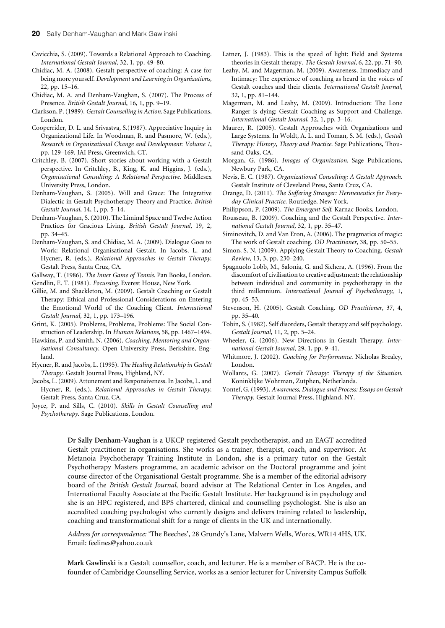- Cavicchia, S. (2009). Towards a Relational Approach to Coaching. *International Gestalt Journal*, 32, 1, pp. 49–80.
- Chidiac, M. A. (2008). Gestalt perspective of coaching: A case for being more yourself. *Development and Learning in Organizations*, 22, pp. 15–16.
- Chidiac, M. A. and Denham-Vaughan, S. (2007). The Process of Presence. *British Gestalt Journal*, 16, 1, pp. 9–19.
- Clarkson, P. (1989). *Gestalt Counselling in Action*. Sage Publications, London.
- Cooperrider, D. L. and Srivastva, S.(1987). Appreciative Inquiry in Organizational Life. In Woodman, R. and Pasmore, W. (eds.), *Research in Organizational Change and Development*: *Volume 1*, pp. 129–169. JAI Press, Greenwich, CT.
- Critchley, B. (2007). Short stories about working with a Gestalt perspective. In Critchley, B., King, K. and Higgins, J. (eds.), *Organisational Consulting: A Relational Perspective*. Middlesex University Press, London.
- Denham-Vaughan, S. (2005). Will and Grace: The Integrative Dialectic in Gestalt Psychotherapy Theory and Practice. *British Gestalt Journal*, 14, 1, pp. 5–14.
- Denham-Vaughan, S. (2010). The Liminal Space and Twelve Action Practices for Gracious Living. *British Gestalt Journal*, 19, 2, pp. 34–45.
- Denham-Vaughan, S. and Chidiac, M. A. (2009). Dialogue Goes to Work: Relational Organisational Gestalt. In Jacobs, L. and Hycner, R. (eds.), *Relational Approaches in Gestalt Therapy*. Gestalt Press, Santa Cruz, CA.
- Gallway, T. (1986). *The Inner Game of Tennis*. Pan Books, London.
- Gendlin, E. T. (1981). *Focussing*. Everest House, New York.
- Gillie, M. and Shackleton, M. (2009). Gestalt Coaching or Gestalt Therapy: Ethical and Professional Considerations on Entering the Emotional World of the Coaching Client*. International Gestalt Journal*, 32, 1, pp. 173–196.
- Grint, K. (2005). Problems, Problems, Problems: The Social Construction of Leadership. In *Human Relations*, 58, pp. 1467–1494.
- Hawkins, P. and Smith, N. (2006). *Coaching, Mentoring and Organisational Consultancy*. Open University Press, Berkshire, England.
- Hycner, R. and Jacobs, L. (1995). *The Healing Relationship in Gestalt Therapy*. Gestalt Journal Press, Highland, NY.
- Jacobs, L. (2009). Attunement and Responsiveness. In Jacobs, L. and Hycner, R. (eds.), *Relational Approaches in Gestalt Therapy*. Gestalt Press, Santa Cruz, CA.
- Joyce, P. and Sills, C. (2010). *Skills in Gestalt Counselling and Psychotherapy*. Sage Publications, London.
- Latner, J. (1983). This is the speed of light: Field and Systems theories in Gestalt therapy. *The Gestalt Journal,* 6, 22, pp. 71–90.
- Leahy, M. and Magerman, M. (2009). Awareness, Immediacy and Intimacy: The experience of coaching as heard in the voices of Gestalt coaches and their clients. *International Gestalt Journal*, 32, 1, pp. 81–144.
- Magerman, M. and Leahy, M. (2009). Introduction: The Lone Ranger is dying: Gestalt Coaching as Support and Challenge. *International Gestalt Journal*, 32, 1, pp. 3–16.
- Maurer, R. (2005). Gestalt Approaches with Organizations and Large Systems. In Woldt, A. L. and Toman, S. M. (eds.), *Gestalt Therapy: History, Theory and Practice*. Sage Publications, Thousand Oaks, CA.
- Morgan, G. (1986). *Images of Organization*. Sage Publications, Newbury Park, CA.
- Nevis, E. C. (1987). *Organizational Consulting: A Gestalt Approach*. Gestalt Institute of Cleveland Press, Santa Cruz, CA.
- Orange, D. (2011). *The Suffering Stranger: Hermeneutics for Everyday Clinical Practice.* Routledge, New York.
- Philippson, P. (2009). *The Emergent Self*. Karnac Books, London.
- Rousseau, B. (2009). Coaching and the Gestalt Perspective. *International Gestalt Journal*, 32, 1, pp. 35–47.
- Siminovitch, D. and Van Eron, A. (2006). The pragmatics of magic: The work of Gestalt coaching. *OD Practitioner*, 38, pp. 50–55.
- Simon, S. N. (2009). Applying Gestalt Theory to Coaching. *Gestalt Review*, 13, 3, pp. 230–240.
- Spagnuolo Lobb, M., Salonia, G. and Sichera, A. (1996). From the discomfort of civilisation to creative adjustment: the relationship between individual and community in psychotherapy in the third millennium. *International Journal of Psychotherapy*, 1, pp. 45–53.
- Stevenson, H. (2005). Gestalt Coaching*. OD Practitioner*, 37, 4, pp. 35–40.
- Tobin, S. (1982). Self disorders, Gestalt therapy and self psychology. *Gestalt Journal*, 11, 2, pp. 5–24.
- Wheeler, G. (2006). New Directions in Gestalt Therapy. *International Gestalt Journal*, 29, 1, pp. 9–41.
- Whitmore, J. (2002). *Coaching for Performance*. Nicholas Brealey, London.
- Wollants, G. (2007). *Gestalt Therapy: Therapy of the Situation*. Koninklijke Wohrman, Zutphen, Netherlands.
- Yontef, G. (1993). *Awareness, Dialogue and Process: Essays on Gestalt Therapy*. Gestalt Journal Press, Highland, NY.

**Dr Sally Denham-Vaughan** is a UKCP registered Gestalt psychotherapist, and an EAGT accredited Gestalt practitioner in organisations. She works as a trainer, therapist, coach, and supervisor. At Metanoia Psychotherapy Training Institute in London, she is a primary tutor on the Gestalt Psychotherapy Masters programme, an academic advisor on the Doctoral programme and joint course director of the Organisational Gestalt programme. She is a member of the editorial advisory board of the *British Gestalt Journal*, board advisor at The Relational Center in Los Angeles, and International Faculty Associate at the Pacific Gestalt Institute. Her background is in psychology and she is an HPC registered, and BPS chartered, clinical and counselling psychologist. She is also an accredited coaching psychologist who currently designs and delivers training related to leadership, coaching and transformational shift for a range of clients in the UK and internationally.

*Address for correspondence:* 'The Beeches', 28 Grundy's Lane, Malvern Wells, Worcs, WR14 4HS, UK. Email: feelines@yahoo.co.uk

**Mark Gawlinski** is a Gestalt counsellor, coach, and lecturer. He is a member of BACP. He is the cofounder of Cambridge Counselling Service, works as a senior lecturer for University Campus Suffolk